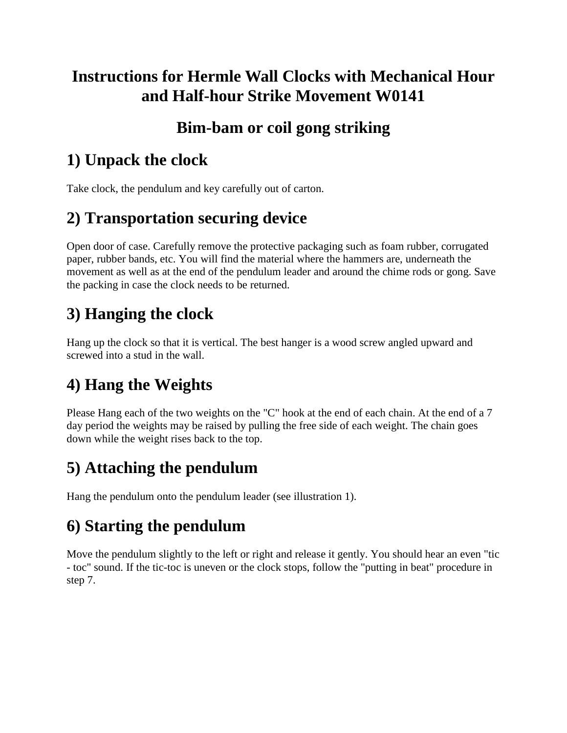### **Instructions for Hermle Wall Clocks with Mechanical Hour and Half-hour Strike Movement W0141**

#### **Bim-bam or coil gong striking**

## **1) Unpack the clock**

Take clock, the pendulum and key carefully out of carton.

## **2) Transportation securing device**

Open door of case. Carefully remove the protective packaging such as foam rubber, corrugated paper, rubber bands, etc. You will find the material where the hammers are, underneath the movement as well as at the end of the pendulum leader and around the chime rods or gong. Save the packing in case the clock needs to be returned.

# **3) Hanging the clock**

Hang up the clock so that it is vertical. The best hanger is a wood screw angled upward and screwed into a stud in the wall.

# **4) Hang the Weights**

Please Hang each of the two weights on the "C" hook at the end of each chain. At the end of a 7 day period the weights may be raised by pulling the free side of each weight. The chain goes down while the weight rises back to the top.

## **5) Attaching the pendulum**

Hang the pendulum onto the pendulum leader (see illustration 1).

### **6) Starting the pendulum**

Move the pendulum slightly to the left or right and release it gently. You should hear an even "tic - toc" sound. If the tic-toc is uneven or the clock stops, follow the "putting in beat" procedure in step 7.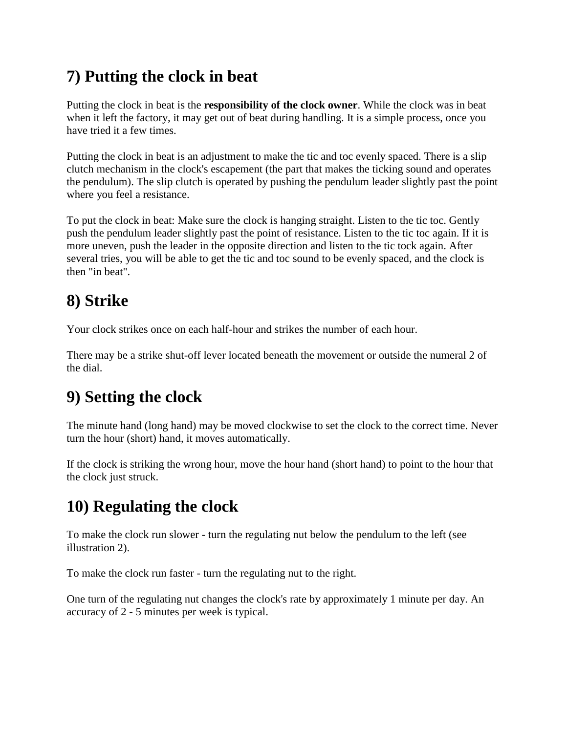## **7) Putting the clock in beat**

Putting the clock in beat is the **responsibility of the clock owner**. While the clock was in beat when it left the factory, it may get out of beat during handling. It is a simple process, once you have tried it a few times.

Putting the clock in beat is an adjustment to make the tic and toc evenly spaced. There is a slip clutch mechanism in the clock's escapement (the part that makes the ticking sound and operates the pendulum). The slip clutch is operated by pushing the pendulum leader slightly past the point where you feel a resistance.

To put the clock in beat: Make sure the clock is hanging straight. Listen to the tic toc. Gently push the pendulum leader slightly past the point of resistance. Listen to the tic toc again. If it is more uneven, push the leader in the opposite direction and listen to the tic tock again. After several tries, you will be able to get the tic and toc sound to be evenly spaced, and the clock is then "in beat".

# **8) Strike**

Your clock strikes once on each half-hour and strikes the number of each hour.

There may be a strike shut-off lever located beneath the movement or outside the numeral 2 of the dial.

## **9) Setting the clock**

The minute hand (long hand) may be moved clockwise to set the clock to the correct time. Never turn the hour (short) hand, it moves automatically.

If the clock is striking the wrong hour, move the hour hand (short hand) to point to the hour that the clock just struck.

## **10) Regulating the clock**

To make the clock run slower - turn the regulating nut below the pendulum to the left (see illustration 2).

To make the clock run faster - turn the regulating nut to the right.

One turn of the regulating nut changes the clock's rate by approximately 1 minute per day. An accuracy of 2 - 5 minutes per week is typical.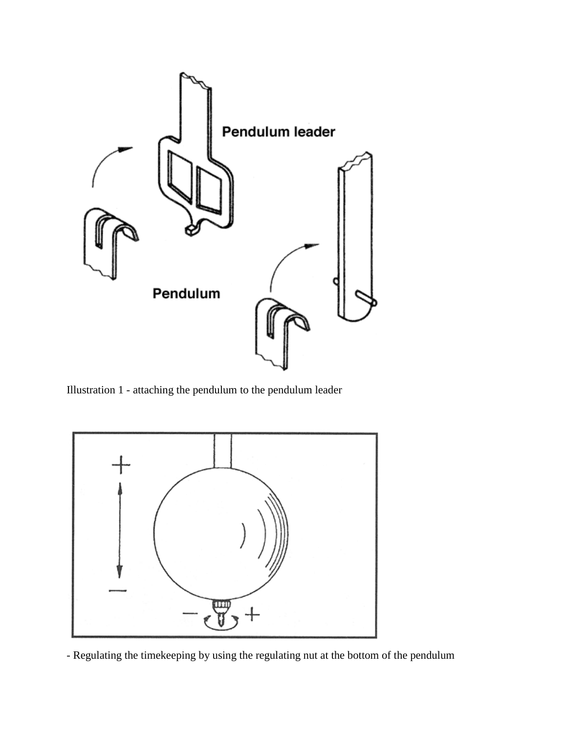

Illustration 1 - attaching the pendulum to the pendulum leader



- Regulating the timekeeping by using the regulating nut at the bottom of the pendulum